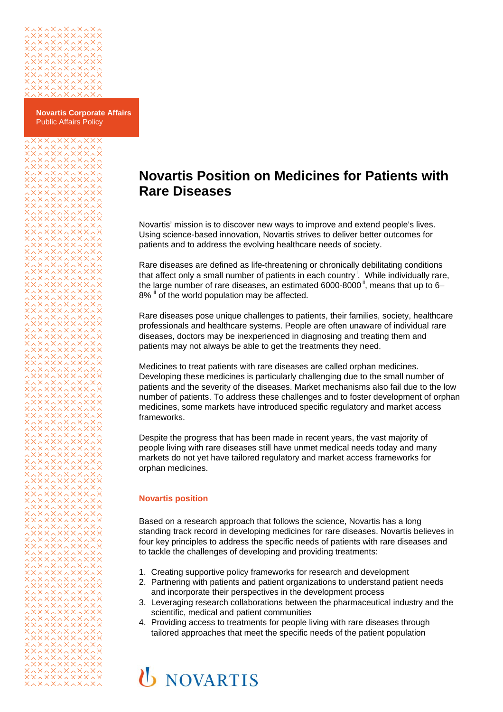

 $\lambda$ x $\lambda$ x $\lambda$ x $\lambda$ x $\lambda$ x $\lambda$ 

**Novartis Corporate Affairs**  Public Affairs Policy

# **Novartis Position on Medicines for Patients with Rare Diseases**

Novartis' mission is to discover new ways to improve and extend people's lives. Using science-based innovation, Novartis strives to deliver better outcomes for patients and to address the evolving healthcare needs of society.

Rare diseases are defined as life-threatening or chronically debilitating conditions that affect only a small number of patients in each country<sup>1</sup>. While individually rare, the large number of rare diseases, an estimated 6000-8000<sup>"</sup>, means that up to 6– 8%<sup>III</sup> of the world population may be affected.

Rare diseases pose unique challenges to patients, their families, society, healthcare professionals and healthcare systems. People are often unaware of individual rare diseases, doctors may be inexperienced in diagnosing and treating them and patients may not always be able to get the treatments they need.

Medicines to treat patients with rare diseases are called orphan medicines. Developing these medicines is particularly challenging due to the small number of patients and the severity of the diseases. Market mechanisms also fail due to the low number of patients. To address these challenges and to foster development of orphan medicines, some markets have introduced specific regulatory and market access frameworks.

Despite the progress that has been made in recent years, the vast majority of people living with rare diseases still have unmet medical needs today and many markets do not yet have tailored regulatory and market access frameworks for orphan medicines.

## **Novartis position**

Based on a research approach that follows the science, Novartis has a long standing track record in developing medicines for rare diseases. Novartis believes in four key principles to address the specific needs of patients with rare diseases and to tackle the challenges of developing and providing treatments:

- 1. Creating supportive policy frameworks for research and development
- 2. Partnering with patients and patient organizations to understand patient needs and incorporate their perspectives in the development process
- 3. Leveraging research collaborations between the pharmaceutical industry and the scientific, medical and patient communities
- 4. Providing access to treatments for people living with rare diseases through tailored approaches that meet the specific needs of the patient population

# **U NOVARTIS**